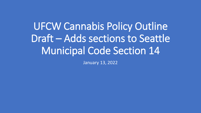# UFCW Cannabis Policy Outline Draft – Adds sections to Seattle Municipal Code Section 14

January 13, 2022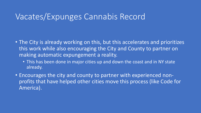#### Vacates/Expunges Cannabis Record

- The City is already working on this, but this accelerates and prioritizes this work while also encouraging the City and County to partner on making automatic expungement a reality.
	- This has been done in major cities up and down the coast and in NY state already.
- Encourages the city and county to partner with experienced nonprofits that have helped other cities move this process (like Code for America).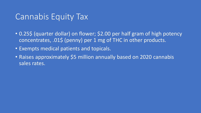## Cannabis Equity Tax

- 0.25\$ (quarter dollar) on flower; \$2.00 per half gram of high potency concentrates, .01\$ (penny) per 1 mg of THC in other products.
- Exempts medical patients and topicals.
- Raises approximately \$5 million annually based on 2020 cannabis sales rates.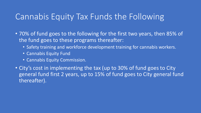# Cannabis Equity Tax Funds the Following

- 70% of fund goes to the following for the first two years, then 85% of the fund goes to these programs thereafter:
	- Safety training and workforce development training for cannabis workers.
	- Cannabis Equity Fund
	- Cannabis Equity Commission.
- City's cost in implementing the tax (up to 30% of fund goes to City general fund first 2 years, up to 15% of fund goes to City general fund thereafter).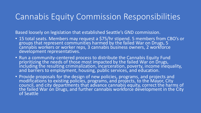## Cannabis Equity Commission Responsibilities

Based loosely on legislation that established Seattle's GND commission.

- 15 total seats. Members may request a \$75/hr stipend. 5 members from CBO's or groups that represent communities harmed by the failed War on Drugs, 5 cannabis workers or worker reps, 3 cannabis business owners, 2 workforce development representatives.
- Run a community-centered process to distribute the Cannabis Equity Fund prioritizing the needs of those most impacted by the failed War on Drugs, including the resulting criminalization, incarceration, poverty, income inequality, and barriers to employment, housing, public services, and education.
- Provide proposals for the design of new policies, programs, and projects and modifications to existing policies, programs, and projects, to the Mayor, City council, and city departments that advance cannabis equity, correct the harms of the failed War on Drugs, and further cannabis workforce development in the City of Seattle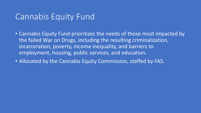#### Cannabis Equity Fund

- Cannabis Equity Fund prioritizes the needs of those most impacted by the failed War on Drugs, including the resulting criminalization, incarceration, poverty, income inequality, and barriers to employment, housing, public services, and education.
- Allocated by the Cannabis Equity Commission, staffed by FAS.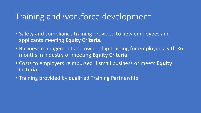## Training and workforce development

- Safety and compliance training provided to new employees and applicants meeting **Equity Criteria.**
- Business management and ownership training for employees with 36 months in industry or meeting **Equity Criteria.**
- Costs to employers reimbursed if small business or meets **Equity Criteria.**
- Training provided by qualified Training Partnership.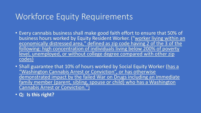# Workforce Equity Requirements

- Every cannabis business shall make good faith effort to ensure that 50% of business hours worked by Equity Resident Worker. ("worker living within an economically distressed area," defined as zip code having 2 of the 3 of the following: high concentration of individuals living below 200% of poverty level, unemployed, or without college degree compared with other zip codes)
- Shall guarantee that 10% of hours worked by Social Equity Worker (has a "Washington Cannabis Arrest or Conviction", or has otherwise demonstrated impact by the failed War on Drugs including an immediate family member (parent, sibling, spouse or child) who has a Washington Cannabis Arrest or Conviction.")
- **Q: Is this right?**